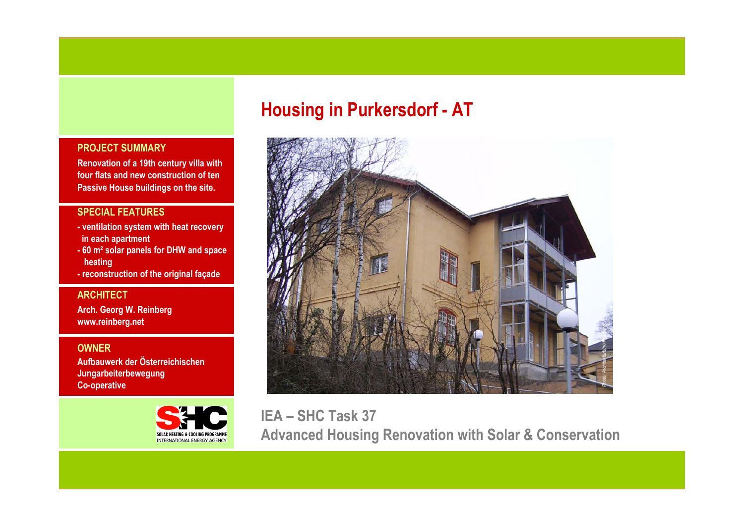# **Housing in Purkersdorf - AT**

# **PROJECT SUMMARY**

**Renovation of a 19th century villa with four flats and new construction of ten Passive House buildings on the site.**

# **SPECIAL FEATURES**

- **- ventilation system with heat recovery in each apartment**
- **- 60 m² solar panels for DHW and space heating**
- **- reconstruction of the original façade**

# **ARCHITECT**

**Arch. Georg W. Reinberg www.reinberg.net**

# **OWNER**

**Aufbauwerk der ÖsterreichischenJungarbeiterbewegung Co-operative**





**IEA – SHC Task 37 Advanced Housing Renovation with Solar & Conservation**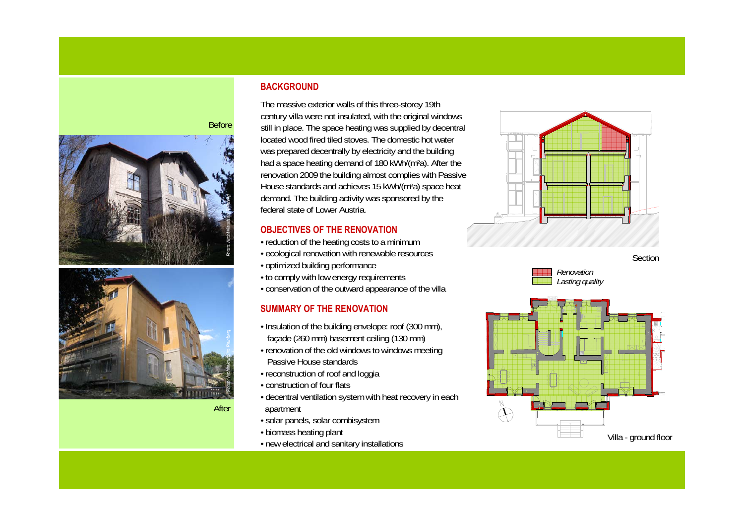

After

#### **BACKGROUND**

The massive exterior walls of this three-storey 19th century villa were not insulated, with the original windows still in place. The space heating was supplied by decentral located wood fired tiled stoves. The domestic hot water was prepared decentrally by electricity and the building had a space heating demand of 180 kWh/(m²a). After the renovation 2009 the building almost complies with Passive House standards and achieves 15 kWh/(m²a) space heat demand. The building activity was sponsored by the federal state of Lower Austria.

# **OBJECTIVES OF THE RENOVATION**

- reduction of the heating costs to a minimum
- ecological renovation with renewable resources
- optimized building performance
- to comply with low energy requirements
- conservation of the outward appearance of the villa

# **SUMMARY OF THE RENOVATION**

- Insulation of the building envelope: roof (300 mm), façade (260 mm) basement ceiling (130 mm)
- renovation of the old windows to windows meeting Passive House standards
- reconstruction of roof and loggia
- construction of four flats
- decentral ventilation system with heat recovery in each apartment
- solar panels, solar combisystem
- biomass heating plant
- new electrical and sanitary installations







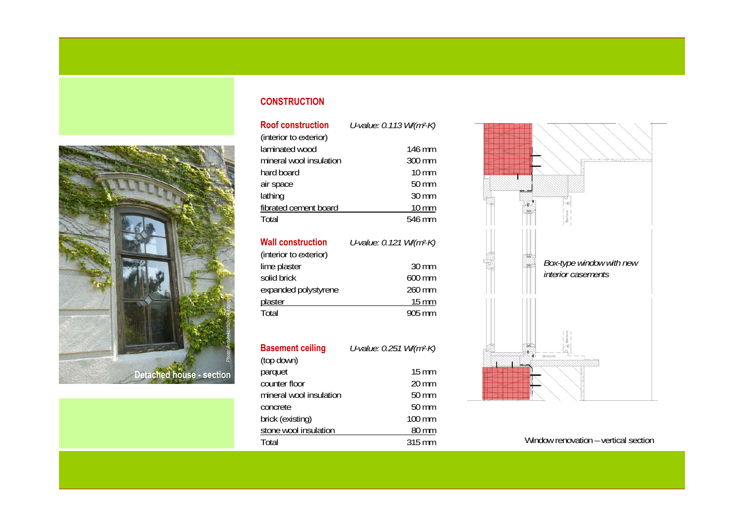

#### **CONSTRUCTION**

**Roof construction***U-value: 0.113 W/(m²·K)*

| (interior to exterior)  |                  |
|-------------------------|------------------|
| laminated wood          | 146 mm           |
| mineral wool insulation | $300 \text{ mm}$ |
| hard board              | $10 \text{ mm}$  |
| air space               | 50 mm            |
| lathing                 | 30 mm            |
| fibrated cement board   | $10 \text{ mm}$  |
| Total                   | 546 mm           |

| <b>Wall construction</b> | U-value: 0.121 W/(m <sup>2</sup> ·K) |
|--------------------------|--------------------------------------|
| (interior to exterior)   |                                      |
| lime plaster             | $30 \text{ mm}$                      |
| solid brick              | 600 mm                               |
| expanded polystyrene     | 260 mm                               |
| plaster                  | 15 mm                                |
| Total                    | 905 mm                               |

| <b>Basement ceiling</b> | U-value: 0.251 W/(m <sup>2</sup> K) |  |
|-------------------------|-------------------------------------|--|
| (top down)              |                                     |  |
| parquet                 | $15 \text{ mm}$                     |  |
| counter floor           | $20 \text{ mm}$                     |  |
| mineral wool insulation | 50 mm                               |  |
| concrete                | 50 mm                               |  |
| brick (existing)        | $100 \text{ mm}$                    |  |
| stone wool insulation   | 80 mm                               |  |
| Total                   | 315 mm                              |  |



Window renovation – vertical section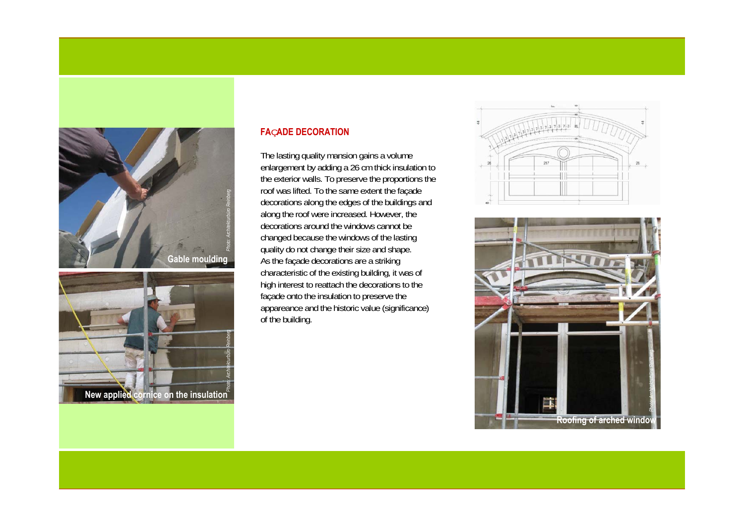



#### **FA** Ç**ADE DECORATION**

The lasting quality mansion gains a volume enlargement by adding a 26 cm thick insulation to the exterior walls. To preserve the proportions the roof was lifted. To the same extent the façade decorations along the edges of the buildings and along the roof were increased. However, the decorations around the windows cannot be changed because the windows of the lasting quality do not change their size and shape. As the façade decorations are a striking characteristic of the existing building, it was of high interest to reattach the decorations to the façade onto the insulation to preserve the appareance and the historic value (significance) of the building.